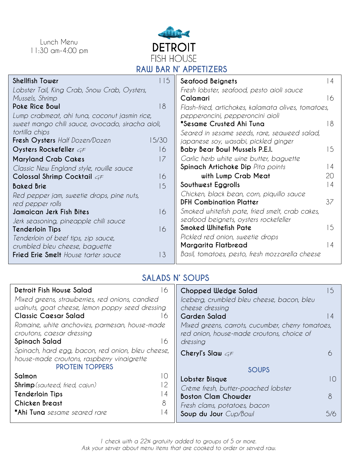Lunch Menu 11:30 am-4:00 pm



## **RAW BAR N' APPETIZERS**

| <b>Shellfish Tower</b>                           | 115   | Seafood Beignets                                    | 4   |
|--------------------------------------------------|-------|-----------------------------------------------------|-----|
| Lobster Tail, King Crab, Snow Crab, Oysters,     |       | Fresh lobster, seafood, pesto aioli sauce           |     |
| Mussels, Shrimp                                  |       | Calamari                                            | 16  |
| Poke Rice Bowl                                   | 18    | Flash-fried, artichokes, kalamata olives, tomatoes, |     |
| Lump crabmeat, ahi tuna, coconut jasmin rice,    |       | pepperoncini, pepperoncini aioli                    |     |
| sweet mango chili sauce, avocado, siracha aioli, |       | *Sesame Crusted Ahi Tuna                            | 8   |
| tortilla chips                                   |       | Seared in sesame seeds, rare, seaweed salad,        |     |
| Fresh Oysters Half Dozen/Dozen                   | 15/30 | japanese soy, wasabi, pickled ginger                |     |
| Oysters Rockefeller $G\digamma$                  | 16    | Baby Bear Bowl Mussels P.E.I.                       | 15  |
| <b>Maryland Crab Cakes</b>                       | 17    | Garlic herb white wine butter, baguette             |     |
| Classic New England style, rouille sauce         |       | <b>Spinach Artichoke Dip</b> Pita points            | l 4 |
| Colossal Shrimp Cocktail $G\digamma$             | 16    | with Lump Crab Meat                                 | 20  |
| <b>Baked Brie</b>                                | 15    | Southwest Eggrolls                                  | l 4 |
| Red pepper jam, sweetie drops, pine nuts,        |       | Chicken, black bean, corn, piquillo sauce           |     |
| red pepper rolls                                 |       | <b>DFH Combination Platter</b>                      | 37  |
| Jamaican Jerk Fish Bites                         | 16    | Smoked whitefish pate, fried smelt, crab cakes,     |     |
| Jerk seasoning, pineapple chili sauce            |       | seafood beignets, oysters rockefeller               |     |
| <b>Tenderloin Tips</b>                           | 16    | Smoked Whitefish Pate                               | 15  |
| Tenderloin of beef tips, zip sauce,              |       | Pickled red onion, sweetie drops                    |     |
| crumbled bleu cheese, baguette                   |       | Margarita Flatbread                                 | 4   |
| <b>Fried Erie Smelt</b> House tarter sauce       | 13    | Basil, tomatoes, pesto, fresh mozzarella cheese     |     |

## **SALADS N' SOUPS**

| Detroit Fish House Salad<br>16<br>Mixed greens, strawberries, red onions, candied<br>walnuts, goat cheese, lemon poppy seed dressing<br><b>Classic Caesar Salad</b><br>O<br>Romaine, white anchovies, parmesan, house-made<br>croutons, caesar dressing<br>Spinach Salad<br>6 | Chopped Wedge Salad<br>$\bigcirc$<br>Iceberg, crumbled bleu cheese, bacon, bleu<br>cheese dressing<br><b>Garden Salad</b><br>Mixed greens, carrots, cucumber, cherry tomatoes,<br>red onion, house-made croutons, choice of<br>dressing |
|-------------------------------------------------------------------------------------------------------------------------------------------------------------------------------------------------------------------------------------------------------------------------------|-----------------------------------------------------------------------------------------------------------------------------------------------------------------------------------------------------------------------------------------|
| Spinach, hard egg, bacon, red onion, bleu cheese,<br>house-made croutons, raspberry vinaigrette<br><b>PROTEIN TOPPERS</b>                                                                                                                                                     | Cheryl's Slaw $GF$                                                                                                                                                                                                                      |
| Salmon<br>10                                                                                                                                                                                                                                                                  | <b>SOUPS</b><br>Lobster Bisque<br>$\vert \vert$                                                                                                                                                                                         |
| <b>Shrimp</b> (sauteed, fried, cajun)                                                                                                                                                                                                                                         | Crème fresh, butter-poached lobster                                                                                                                                                                                                     |
| <b>Tenderloin Tips</b><br>  4<br>8<br>Chicken Breast                                                                                                                                                                                                                          | <b>Boston Clam Chowder</b><br>8                                                                                                                                                                                                         |
| *Ahi Tuna sesame seared rare<br>  4                                                                                                                                                                                                                                           | Fresh clams, potatoes, bacon<br>Soup du Jour Cup/Bowl<br>5/6                                                                                                                                                                            |